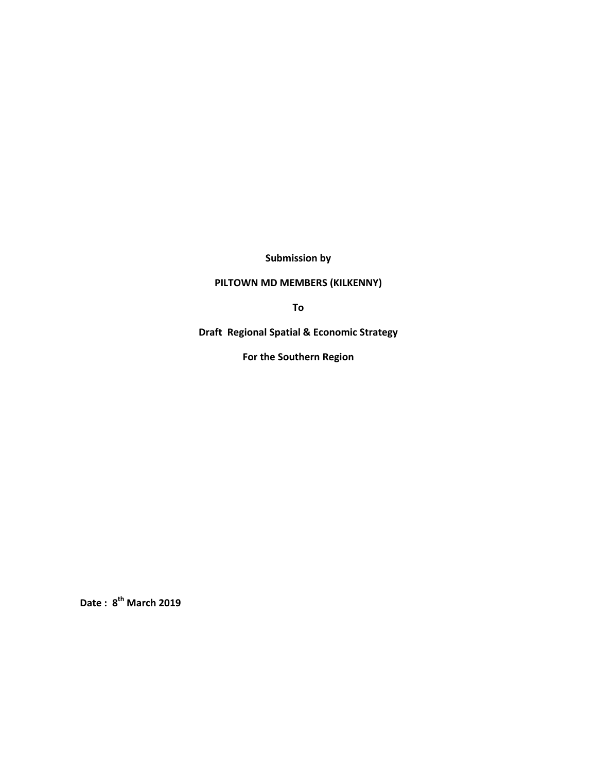**Submission by** 

# **PILTOWN MD MEMBERS (KILKENNY)**

**To**

**Draft Regional Spatial & Economic Strategy** 

**For the Southern Region**

**Date : 8th March 2019**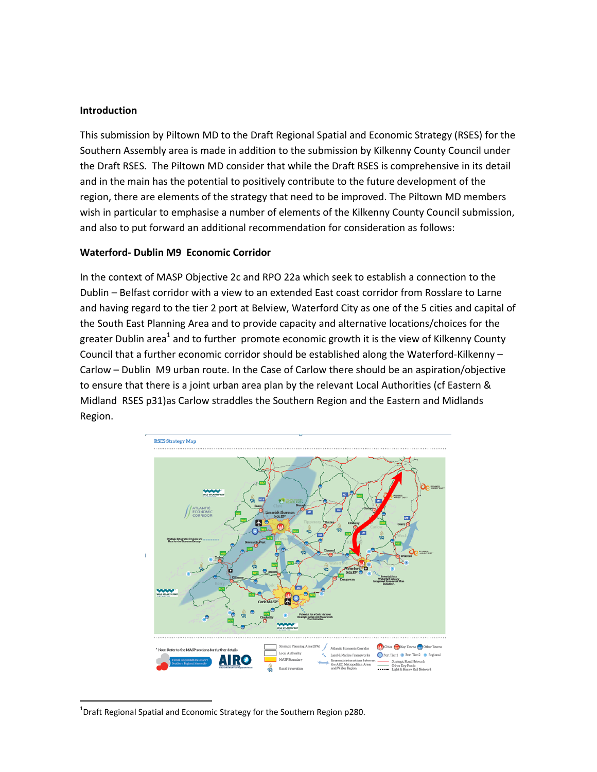#### **Introduction**

This submission by Piltown MD to the Draft Regional Spatial and Economic Strategy (RSES) for the Southern Assembly area is made in addition to the submission by Kilkenny County Council under the Draft RSES. The Piltown MD consider that while the Draft RSES is comprehensive in its detail and in the main has the potential to positively contribute to the future development of the region, there are elements of the strategy that need to be improved. The Piltown MD members wish in particular to emphasise a number of elements of the Kilkenny County Council submission, and also to put forward an additional recommendation for consideration as follows:

#### **Waterford‐ Dublin M9 Economic Corridor**

In the context of MASP Objective 2c and RPO 22a which seek to establish a connection to the Dublin – Belfast corridor with a view to an extended East coast corridor from Rosslare to Larne and having regard to the tier 2 port at Belview, Waterford City as one of the 5 cities and capital of the South East Planning Area and to provide capacity and alternative locations/choices for the greater Dublin area<sup>1</sup> and to further promote economic growth it is the view of Kilkenny County Council that a further economic corridor should be established along the Waterford‐Kilkenny – Carlow – Dublin M9 urban route. In the Case of Carlow there should be an aspiration/objective to ensure that there is a joint urban area plan by the relevant Local Authorities (cf Eastern & Midland RSES p31)as Carlow straddles the Southern Region and the Eastern and Midlands Region.



 $^{1}$ Draft Regional Spatial and Economic Strategy for the Southern Region p280.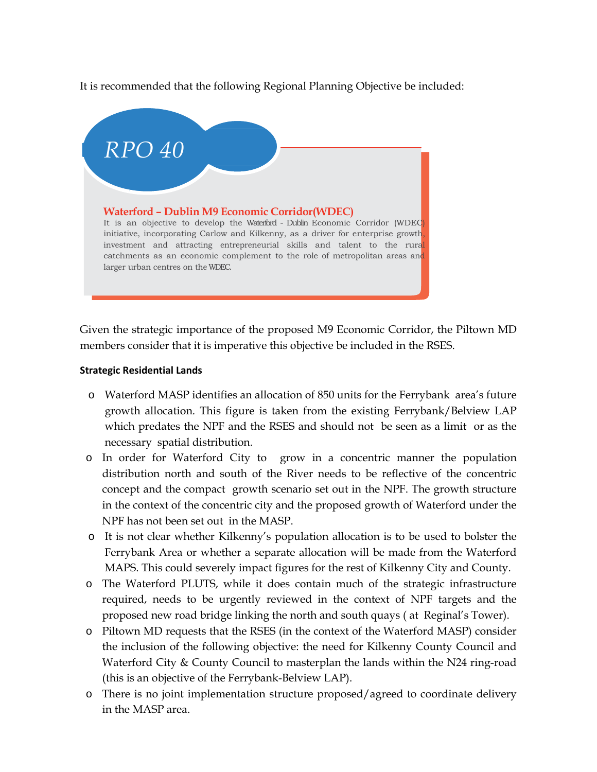It is recommended that the following Regional Planning Objective be included:



Given the strategic importance of the proposed M9 Economic Corridor, the Piltown MD members consider that it is imperative this objective be included in the RSES.

### **Strategic Residential Lands**

- o Waterford MASP identifies an allocation of 850 units for the Ferrybank area's future growth allocation. This figure is taken from the existing Ferrybank/Belview LAP which predates the NPF and the RSES and should not be seen as a limit or as the necessary spatial distribution.
- o In order for Waterford City to grow in a concentric manner the population distribution north and south of the River needs to be reflective of the concentric concept and the compact growth scenario set out in the NPF. The growth structure in the context of the concentric city and the proposed growth of Waterford under the NPF has not been set out in the MASP.
- o It is not clear whether Kilkenny's population allocation is to be used to bolster the Ferrybank Area or whether a separate allocation will be made from the Waterford MAPS. This could severely impact figures for the rest of Kilkenny City and County.
- o The Waterford PLUTS, while it does contain much of the strategic infrastructure required, needs to be urgently reviewed in the context of NPF targets and the proposed new road bridge linking the north and south quays ( at Reginal's Tower).
- o Piltown MD requests that the RSES (in the context of the Waterford MASP) consider the inclusion of the following objective: the need for Kilkenny County Council and Waterford City & County Council to masterplan the lands within the N24 ring-road (this is an objective of the Ferrybank-Belview LAP).
- o There is no joint implementation structure proposed/agreed to coordinate delivery in the MASP area.